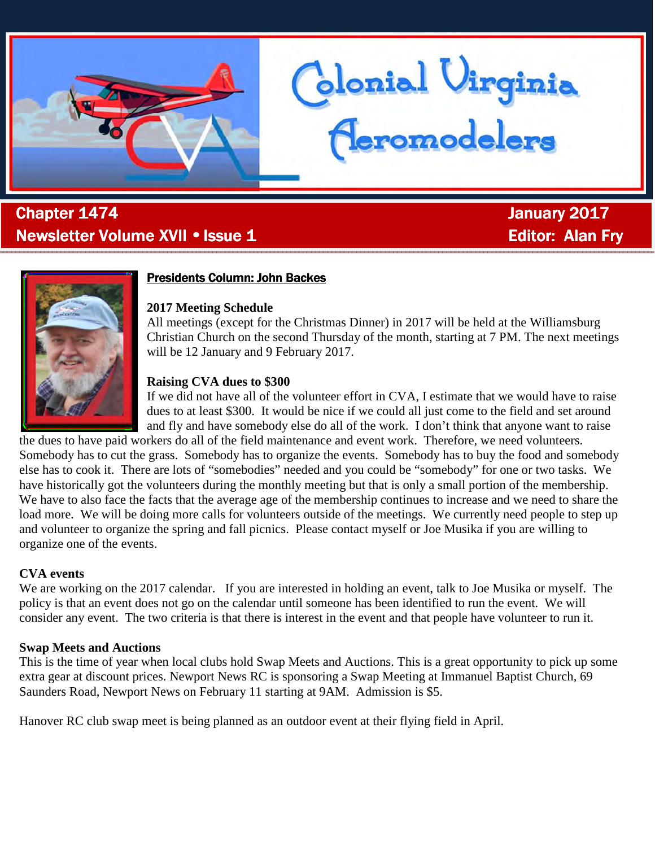

# . Chapter 1474 January January 2017 Newsletter Volume XVII • Issue 1 Editor: Alan Fry



# **Presidents Column: John Backes**

#### **2017 Meeting Schedule**

All meetings (except for the Christmas Dinner) in 2017 will be held at the Williamsburg Christian Church on the second Thursday of the month, starting at 7 PM. The next meetings will be 12 January and 9 February 2017.

Clonial Virginia<br>Ceromodelers

#### **Raising CVA dues to \$300**

If we did not have all of the volunteer effort in CVA, I estimate that we would have to raise dues to at least \$300. It would be nice if we could all just come to the field and set around and fly and have somebody else do all of the work. I don't think that anyone want to raise

the dues to have paid workers do all of the field maintenance and event work. Therefore, we need volunteers. Somebody has to cut the grass. Somebody has to organize the events. Somebody has to buy the food and somebody else has to cook it. There are lots of "somebodies" needed and you could be "somebody" for one or two tasks. We have historically got the volunteers during the monthly meeting but that is only a small portion of the membership. We have to also face the facts that the average age of the membership continues to increase and we need to share the load more. We will be doing more calls for volunteers outside of the meetings. We currently need people to step up and volunteer to organize the spring and fall picnics. Please contact myself or Joe Musika if you are willing to organize one of the events.

#### **CVA events**

We are working on the 2017 calendar. If you are interested in holding an event, talk to Joe Musika or myself. The policy is that an event does not go on the calendar until someone has been identified to run the event. We will consider any event. The two criteria is that there is interest in the event and that people have volunteer to run it.

#### **Swap Meets and Auctions**

This is the time of year when local clubs hold Swap Meets and Auctions. This is a great opportunity to pick up some extra gear at discount prices. Newport News RC is sponsoring a Swap Meeting at Immanuel Baptist Church, 69 Saunders Road, Newport News on February 11 starting at 9AM. Admission is \$5.

Hanover RC club swap meet is being planned as an outdoor event at their flying field in April.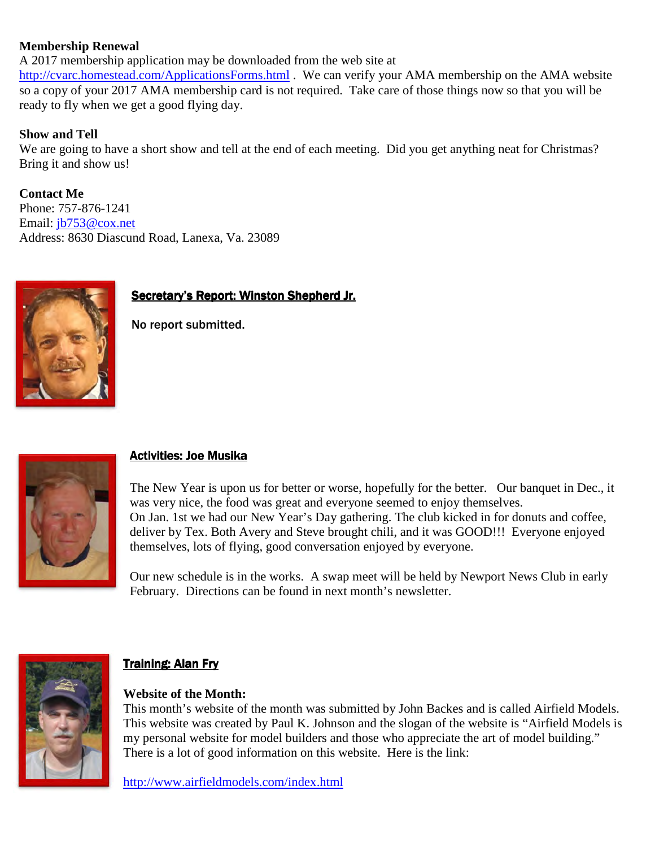#### **Membership Renewal**

A 2017 membership application may be downloaded from the web site at http://cvarc.homestead.com/ApplicationsForms.html . We can verify your AMA membership on the AMA website so a copy of your 2017 AMA membership card is not required. Take care of those things now so that you will be ready to fly when we get a good flying day.

### **Show and Tell**

We are going to have a short show and tell at the end of each meeting. Did you get anything neat for Christmas? Bring it and show us!

**Contact Me**  Phone: 757-876-1241 Email: jb753@cox.net Address: 8630 Diascund Road, Lanexa, Va. 23089



# Secretary's Report: Winston Shepherd Jr.

No report submitted.



# Activities: Joe Musika

The New Year is upon us for better or worse, hopefully for the better. Our banquet in Dec., it was very nice, the food was great and everyone seemed to enjoy themselves. On Jan. 1st we had our New Year's Day gathering. The club kicked in for donuts and coffee, deliver by Tex. Both Avery and Steve brought chili, and it was GOOD!!! Everyone enjoyed themselves, lots of flying, good conversation enjoyed by everyone.

Our new schedule is in the works. A swap meet will be held by Newport News Club in early February. Directions can be found in next month's newsletter.



#### Training: Alan Fry

#### **Website of the Month:**

This month's website of the month was submitted by John Backes and is called Airfield Models. This website was created by Paul K. Johnson and the slogan of the website is "Airfield Models is my personal website for model builders and those who appreciate the art of model building." There is a lot of good information on this website. Here is the link:

http://www.airfieldmodels.com/index.html